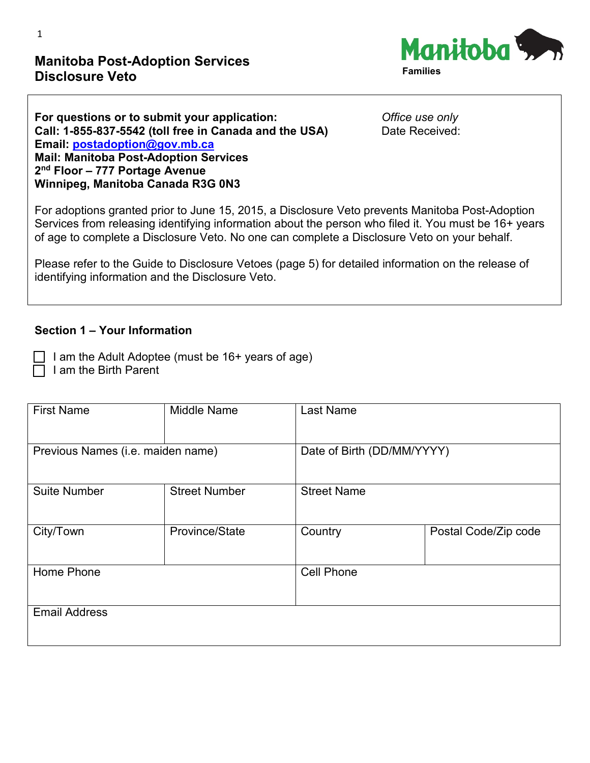# **Manitoba Post-Adoption Services Disclosure Veto**



| For questions or to submit your application:           | O  |
|--------------------------------------------------------|----|
| Call: 1-855-837-5542 (toll free in Canada and the USA) | D: |
| Email: postadoption@gov.mb.ca                          |    |
| <b>Mail: Manitoba Post-Adoption Services</b>           |    |
| $2nd$ Floor – 777 Portage Avenue                       |    |
| Winnipeg, Manitoba Canada R3G 0N3                      |    |

**ffice use only** ate Received:

For adoptions granted prior to June 15, 2015, a Disclosure Veto prevents Manitoba Post-Adoption Services from releasing identifying information about the person who filed it. You must be 16+ years of age to complete a Disclosure Veto. No one can complete a Disclosure Veto on your behalf.

Please refer to the Guide to Disclosure Vetoes (page 5) for detailed information on the release of identifying information and the Disclosure Veto.

#### **Section 1 – Your Information**

I am the Adult Adoptee (must be  $16+$  years of age) I am the Birth Parent

| <b>First Name</b>                 | <b>Middle Name</b>   | <b>Last Name</b>           |                      |
|-----------------------------------|----------------------|----------------------------|----------------------|
| Previous Names (i.e. maiden name) |                      | Date of Birth (DD/MM/YYYY) |                      |
| <b>Suite Number</b>               | <b>Street Number</b> | <b>Street Name</b>         |                      |
| City/Town                         | Province/State       | Country                    | Postal Code/Zip code |
| Home Phone                        |                      | <b>Cell Phone</b>          |                      |
| <b>Email Address</b>              |                      |                            |                      |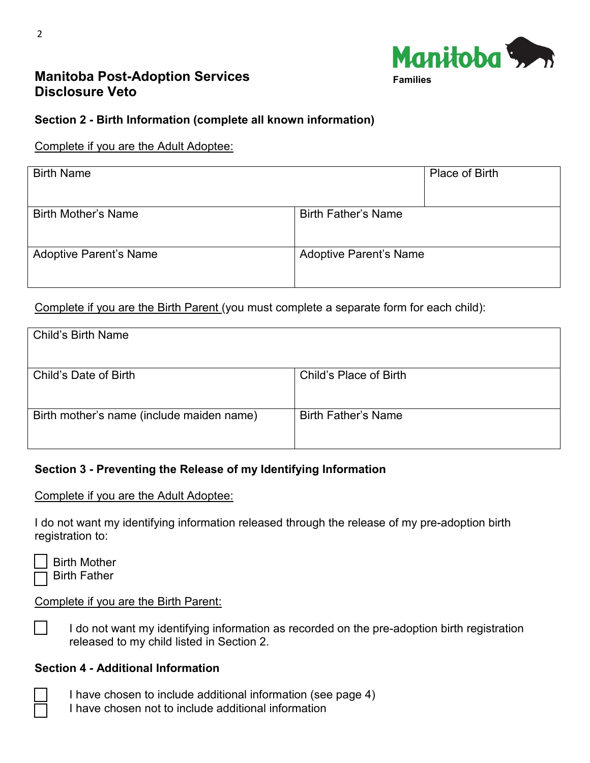

# **Manitoba Post-Adoption Services Disclosure Veto**

## **Section 2 - Birth Information (complete all known information)**

#### Complete if you are the Adult Adoptee:

| <b>Birth Name</b>             |                               | Place of Birth |
|-------------------------------|-------------------------------|----------------|
| <b>Birth Mother's Name</b>    | <b>Birth Father's Name</b>    |                |
| <b>Adoptive Parent's Name</b> | <b>Adoptive Parent's Name</b> |                |

Complete if you are the Birth Parent (you must complete a separate form for each child):

| <b>Child's Birth Name</b>                 |                            |
|-------------------------------------------|----------------------------|
| Child's Date of Birth                     | Child's Place of Birth     |
| Birth mother's name (include maiden name) | <b>Birth Father's Name</b> |

## **Section 3 - Preventing the Release of my Identifying Information**

Complete if you are the Adult Adoptee:

I do not want my identifying information released through the release of my pre-adoption birth registration to:

| г |
|---|
|   |

h Mother Birth Father

#### Complete if you are the Birth Parent:

I do not want my identifying information as recorded on the pre-adoption birth registration released to my child listed in Section 2.

#### **Section 4 - Additional Information**

I have chosen to include additional information (see page 4)

I have chosen not to include additional information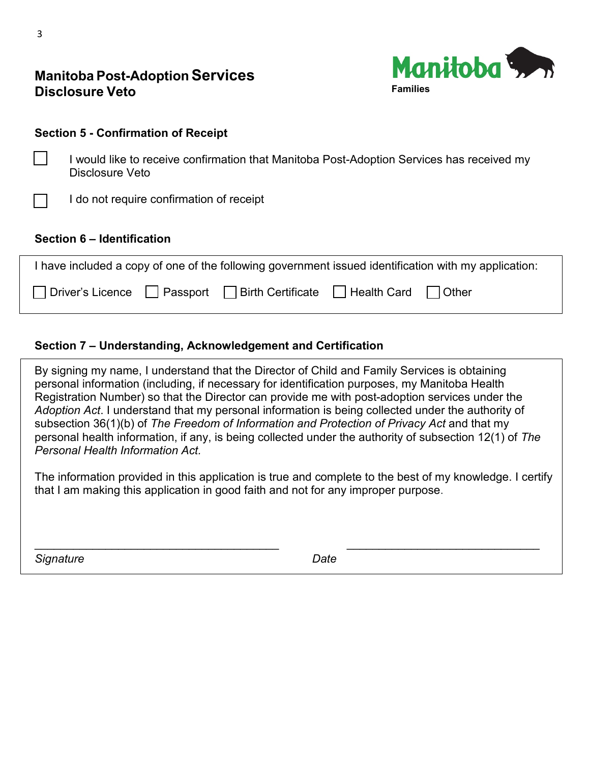

| <b>Manitoba Post-Adoption Services</b> |
|----------------------------------------|
| <b>Disclosure Veto</b>                 |

#### **Section 5 - Confirmation of Receipt**

 I would like to receive confirmation that Manitoba Post-Adoption Services has received my Disclosure Veto

I do not require confirmation of receipt

#### **Section 6 – Identification**

| I have included a copy of one of the following government issued identification with my application: |  |  |  |  |
|------------------------------------------------------------------------------------------------------|--|--|--|--|
| □ Driver's Licence □ Passport □ Birth Certificate □ Health Card □ Other                              |  |  |  |  |

## **Section 7 – Understanding, Acknowledgement and Certification**

By signing my name, I understand that the Director of Child and Family Services is obtaining personal information (including, if necessary for identification purposes, my Manitoba Health Registration Number) so that the Director can provide me with post-adoption services under the *Adoption Act*. I understand that my personal information is being collected under the authority of subsection 36(1)(b) of *The Freedom of Information and Protection of Privacy Act* and that my personal health information, if any, is being collected under the authority of subsection 12(1) of *The Personal Health Information Act.*

The information provided in this application is true and complete to the best of my knowledge. I certify that I am making this application in good faith and not for any improper purpose.

\_\_\_\_\_\_\_\_\_\_\_\_\_\_\_\_\_\_\_\_\_\_\_\_\_\_\_\_\_\_\_\_\_\_\_\_\_\_ \_\_\_\_\_\_\_\_\_\_\_\_\_\_\_\_\_\_\_\_\_\_\_\_\_\_\_\_\_\_

**Signature** Date Date Date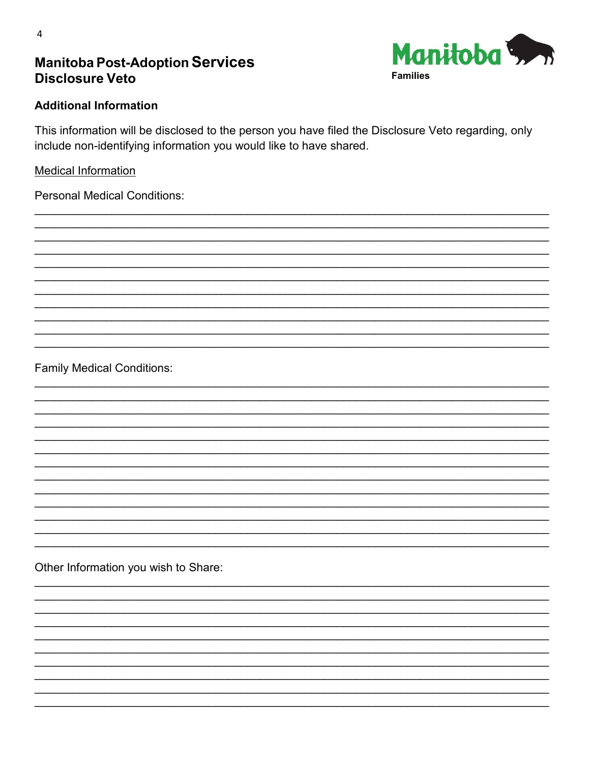# **Manitoba Post-Adoption Services Disclosure Veto**



#### **Additional Information**

This information will be disclosed to the person you have filed the Disclosure Veto regarding, only include non-identifying information you would like to have shared.

### **Medical Information**

**Personal Medical Conditions:** 

**Family Medical Conditions:** 

Other Information you wish to Share: